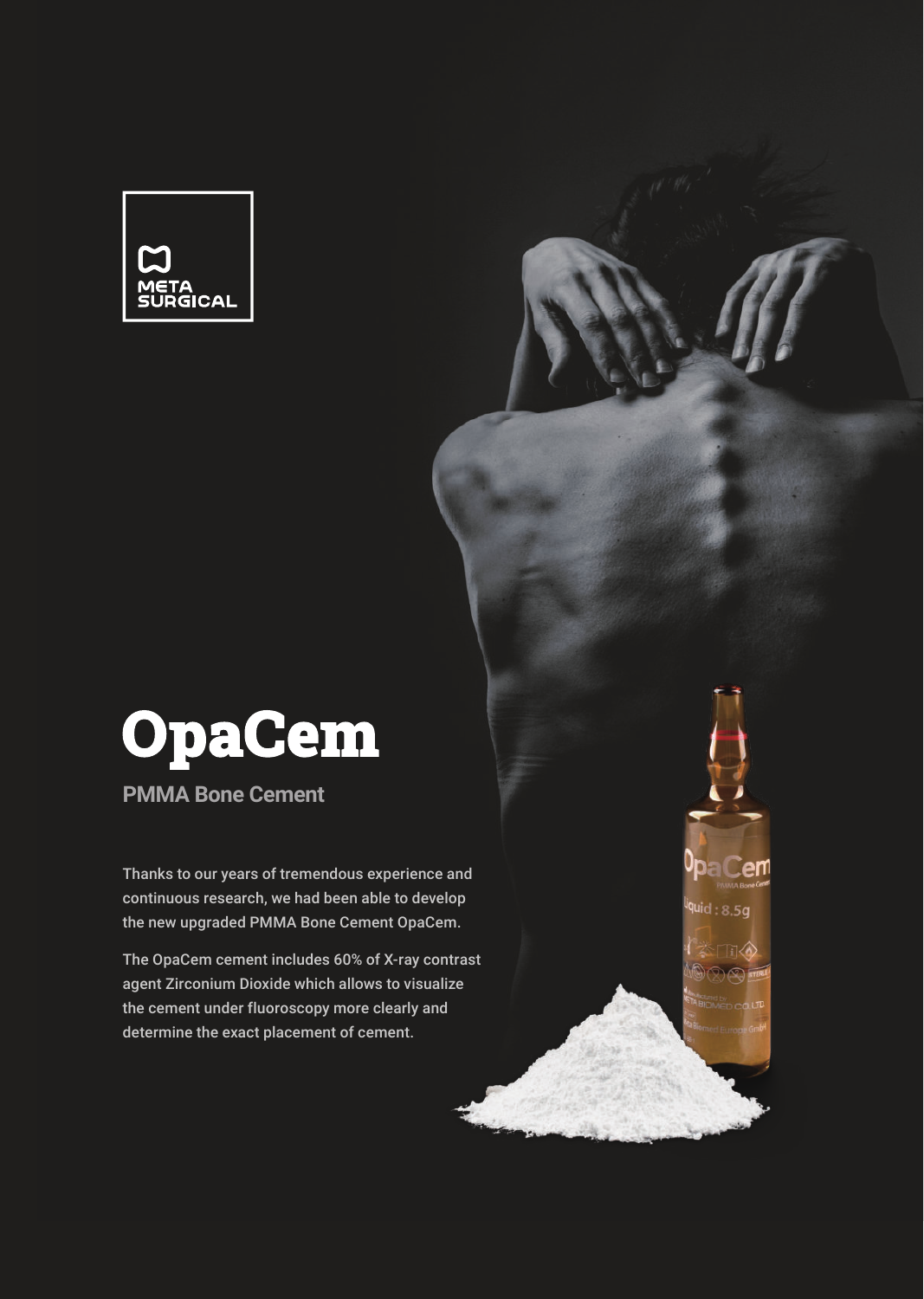



**PMMA Bone Cement** 

Thanks to our years of tremendous experience and continuous research, we had been able to develop the new upgraded PMMA Bone Cement OpaCem.

The OpaCem cement includes 60% of X-ray contrast agent Zirconium Dioxide which allows to visualize the cement under fluoroscopy more clearly and determine the exact placement of cement.

**pa Cem**  $quid: 8.5g$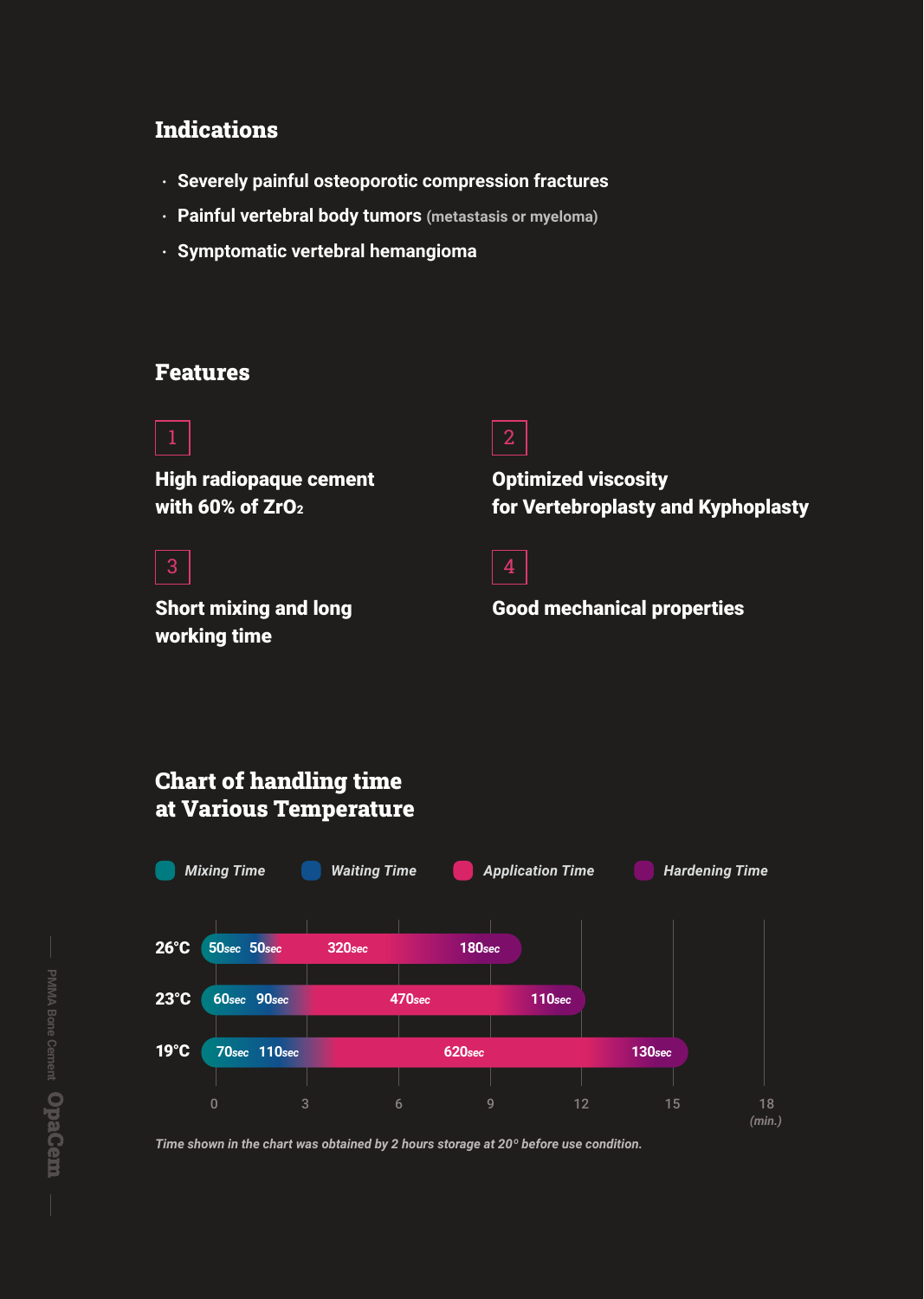### **Indications**

- ㆍ **Severely painful osteoporotic compression fractures**
- ㆍ **Painful vertebral body tumors (metastasis or myeloma)**
- ㆍ **Symptomatic vertebral hemangioma**

### Features



3

High radiopaque cement with 60% of  $ZrO<sub>2</sub>$ 



Optimized viscosity for Vertebroplasty and Kyphoplasty

Short mixing and long working time

Good mechanical properties



*Time shown in the chart was obtained by 2 hours storage at 20º before use condition.*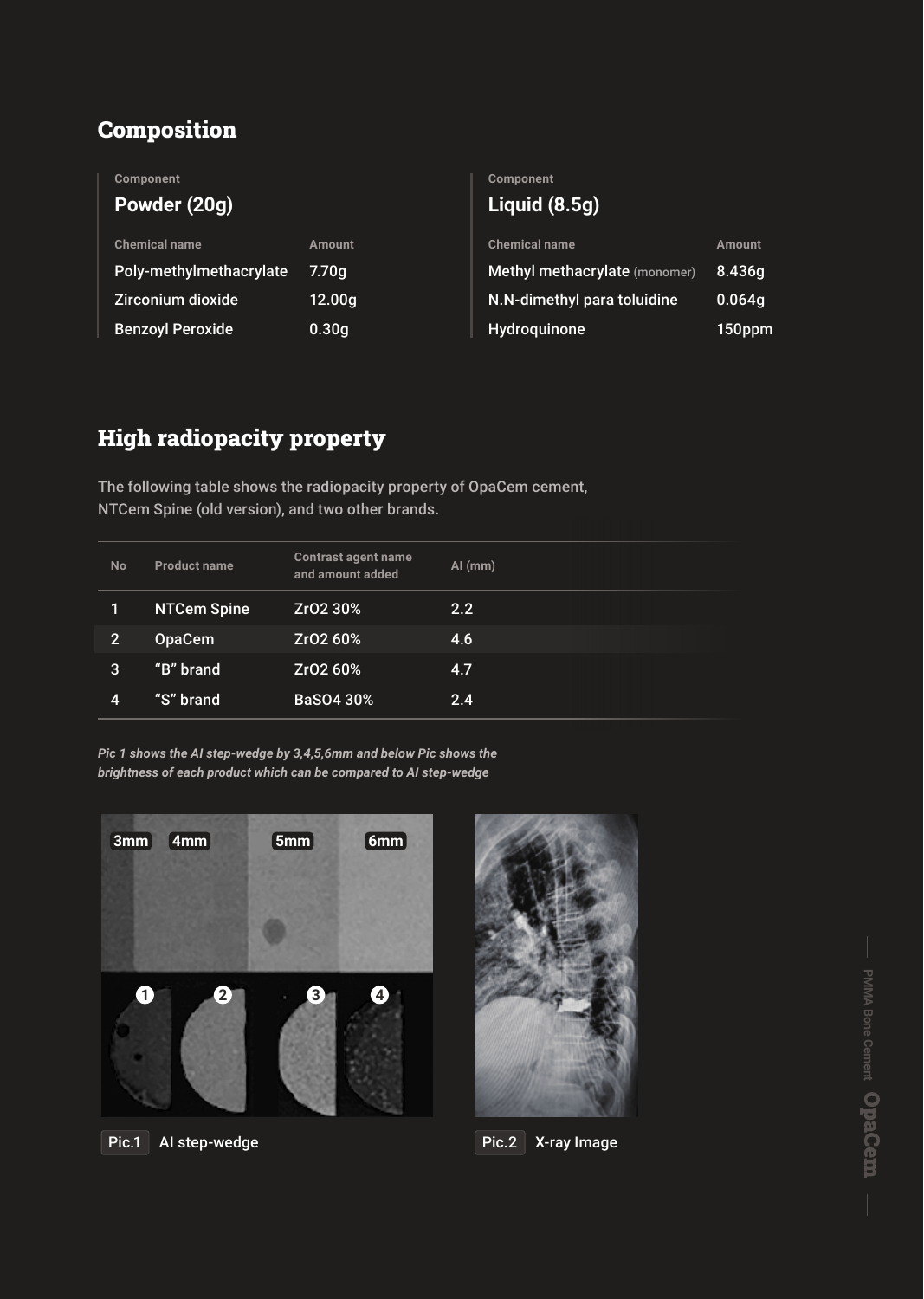## Composition

| <b>Component</b>        |                   | <b>Component</b>              |        |
|-------------------------|-------------------|-------------------------------|--------|
| Powder (20g)            |                   | Liquid $(8.5g)$               |        |
| <b>Chemical name</b>    | <b>Amount</b>     | <b>Chemical name</b>          | Amount |
| Poly-methylmethacrylate | 7.70 <sub>q</sub> | Methyl methacrylate (monomer) | 8.436g |
| Zirconium dioxide       | 12.00g            | N.N-dimethyl para toluidine   | 0.064g |
| <b>Benzoyl Peroxide</b> | 0.30 <sub>g</sub> | Hydroquinone                  | 150ppm |
|                         |                   |                               |        |

# High radiopacity property

The following table shows the radiopacity property of OpaCem cement, NTCem Spine (old version), and two other brands.

| <b>No</b>      | <b>Product name</b> | <b>Contrast agent name</b><br>and amount added | $AI$ (mm) |
|----------------|---------------------|------------------------------------------------|-----------|
| 1              | <b>NTCem Spine</b>  | Zr02 30%                                       | 2.2       |
| $\overline{2}$ | <b>OpaCem</b>       | Zr02 60%                                       | 4.6       |
| 3              | "B" brand           | Zr02 60%                                       | 4.7       |
| 4              | "S" brand           | <b>BaSO4 30%</b>                               | 2.4       |

*Pic 1 shows the AI step-wedge by 3,4,5,6mm and below Pic shows the brightness of each product which can be compared to AI step-wedge* 



AI step-wedge Pic.1 Pic.2 X-ray Image